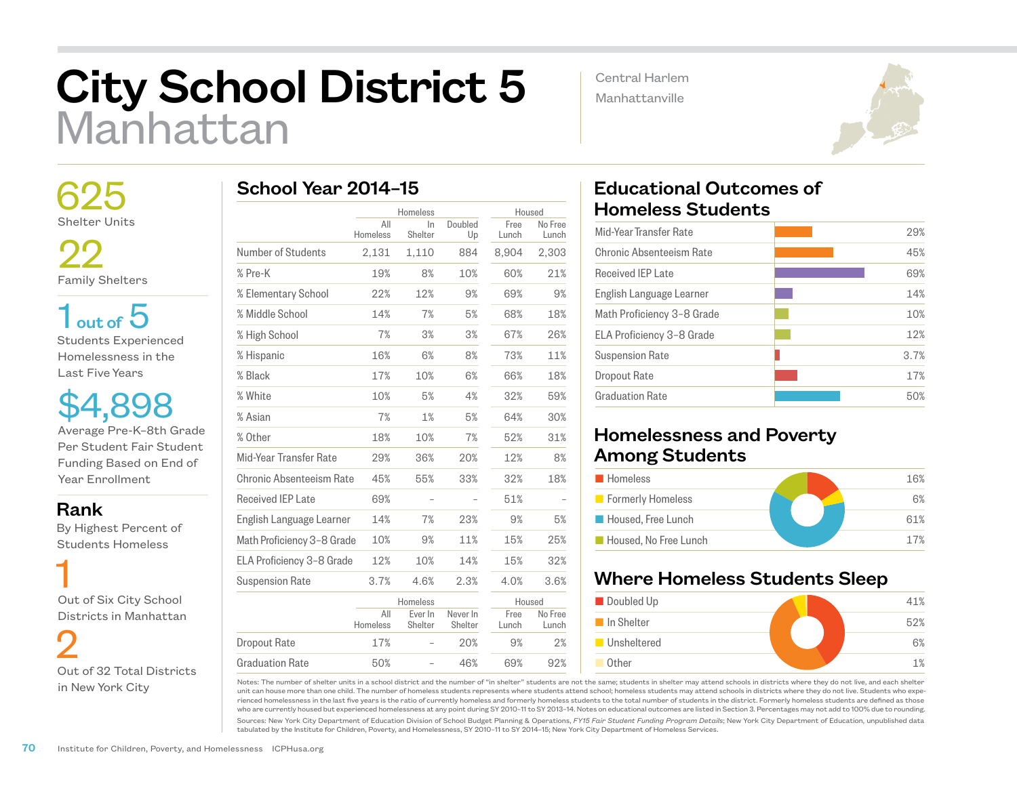# City School District 5 Manhattan

Central Harlem Manhattanville



 625 Shelter Units

22 Family Shelters

 $1<sub>out of</sub> 5$ Students Experienced Homelessness in the Last Five Years

\$4,898 Average Pre-K–8th Grade Per Student Fair Student Funding Based on End of Year Enrollment

Rank

 By Highest Percent of Students Homeless

 1 Out of Six City School Districts in Manhattan

 2 Out of 32 Total Districts in New York City

# School Year 2014–15

|                            |                 | Homeless           |                     |               | Housed           |  |
|----------------------------|-----------------|--------------------|---------------------|---------------|------------------|--|
|                            | All<br>Homeless | In<br>Shelter      | Doubled<br>Up       | Free<br>Lunch | No Free<br>Lunch |  |
| Number of Students         | 2,131           | 1,110              | 884                 | 8,904         | 2,303            |  |
| % Pre-K                    | 19%             | 8%                 | 10%                 | 60%           | 21%              |  |
| % Elementary School        | 22%             | 12%                | 9%                  | 69%           | 9%               |  |
| % Middle School            | 14%             | 7%                 | 5%                  | 68%           | 18%              |  |
| % High School              | 7%              | 3%                 | 3%                  | 67%           | 26%              |  |
| % Hispanic                 | 16%             | 6%                 | 8%                  | 73%           | 11%              |  |
| % Black                    | 17%             | 10%                | 6%                  | 66%           | 18%              |  |
| % White                    | 10%             | 5%                 | 4%                  | 32%           | 59%              |  |
| % Asian                    | 7%              | 1%                 | 5%                  | 64%           | 30%              |  |
| % Other                    | 18%             | 10%                | 7%                  | 52%           | 31%              |  |
| Mid-Year Transfer Rate     | 29%             | 36%                | 20%                 | 12%           | 8%               |  |
| Chronic Absenteeism Rate   | 45%             | 55%                | 33%                 | 32%           | 18%              |  |
| <b>Received IEP Late</b>   | 69%             |                    |                     | 51%           |                  |  |
| English Language Learner   | 14%             | 7%                 | 23%                 | 9%            | 5%               |  |
| Math Proficiency 3-8 Grade | 10%             | 9%                 | 11%                 | 15%           | 25%              |  |
| ELA Proficiency 3-8 Grade  | 12%             | 10%                | 14%                 | 15%           | 32%              |  |
| <b>Suspension Rate</b>     | 3.7%            | 4.6%               | 2.3%                | 4.0%          | 3.6%             |  |
|                            |                 | Homeless           |                     |               | Housed           |  |
|                            | All<br>Homeless | Ever In<br>Shelter | Never In<br>Shelter | Free<br>Lunch | No Free<br>Lunch |  |
| <b>Dropout Rate</b>        | 17%             |                    | 20%                 | 9%            | 2%               |  |
| <b>Graduation Rate</b>     | 50%             |                    | 46%                 | 69%           | 92%              |  |

## Educational Outcomes of Homeless Students

| Mid-Year Transfer Rate     | 29%  |
|----------------------------|------|
| Chronic Absenteeism Rate   | 45%  |
| <b>Received IEP Late</b>   | 69%  |
| English Language Learner   | 14%  |
| Math Proficiency 3-8 Grade | 10%  |
| ELA Proficiency 3-8 Grade  | 12%  |
| <b>Suspension Rate</b>     | 3.7% |
| Dropout Rate               | 17%  |
| <b>Graduation Rate</b>     | 50%  |
|                            |      |

### Homelessness and Poverty Among Students

| <b>Homeless</b>       | 16% |
|-----------------------|-----|
| Formerly Homeless     | 6%  |
| Housed, Free Lunch    | 61% |
| Housed, No Free Lunch | 17% |

### Where Homeless Students Sleep



Notes: The number of shelter units in a school district and the number of "in shelter" students are not the same; students in shelter may attend schools in districts where they do not live, and each shelter unit can house more than one child. The number of homeless students represents where students attend school; homeless students may attend schools in districts where they do not live. Students who experienced homelessness in the last five years is the ratio of currently homeless and formerly homeless students to the total number of students in the district. Formerly homeless students are defined as those who are currently housed but experienced homelessness at any point during SY 2010–11 to SY 2013–14. Notes on educational outcomes are listed in Section 3. Percentages may not add to 100% due to rounding.

Sources: New York City Department of Education Division of School Budget Planning & Operations, *FY15 Fair Student Funding Program Details*; New York City Department of Education, unpublished data tabulated by the Institute for Children, Poverty, and Homelessness, SY 2010–11 to SY 2014–15; New York City Department of Homeless Services.